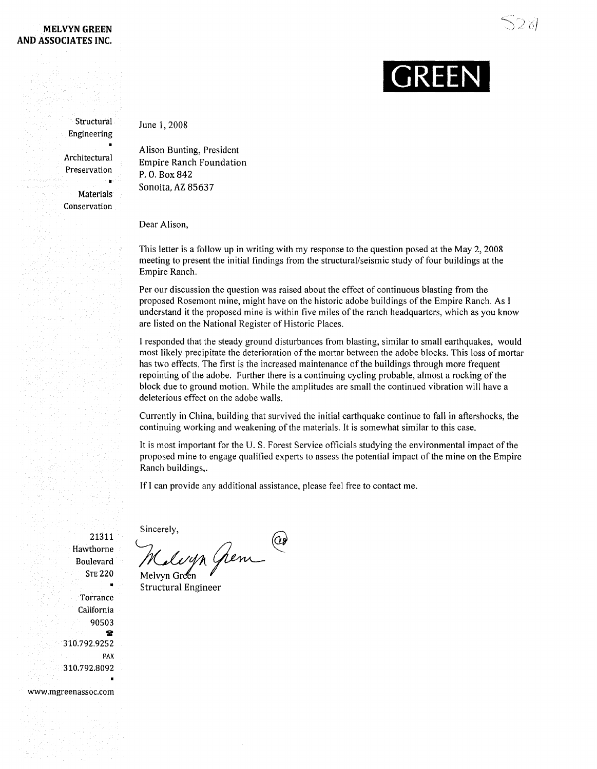## **MELVYN GREEN AND ASSOCIATES INC.**

つる

## **GREEN**

**Structural** Engineering

Architectural Preservation

**Materials** Conservation

Alison Bunting, President Empire Ranch Foundation

P. O. Box 842 Sonoita, AZ 85637

Dear Alison,

June 1,2008

This letter is a follow up in writing with my response to the question posed at the May 2, 2008 meeting to present the initial findings from the structural/seismic study offour buildings at the Empire Ranch.

Per our discussion the question was raised about the effect of continuous blasting from the proposed Rosemont mine, might have on the historic adobe buildings ofthe Empire Ranch. As I understand it the proposed mine is within five miles of the ranch headquarters, which as you know are listed on the National Register of Historic Places.

1 responded that the steady ground disturbances from blasting, similar to small earthquakes, would most likely precipitate the deterioration of the mortar between the adobe blocks. This loss of mortar has two effects. The first is the increased maintenance of the buildings through more frequent repointing of the adobe. Further there is a continuing cycling probable, almost a rocking of the block due to ground motion. While the amplitudes are small the continued vibration will have a deleterious effect on the adobe walls.

Currently in China, building that survived the initial earthquake continue to fall in aftershocks, the continuing working and weakening of the materials. It is somewhat similar to this case.

It is most important for the U. S. Forest Service officials studying the environmental impact ofthe proposed mine to engage qualified experts to assess the potential impact ofthe mine on the Empire Ranch buildings,.

If I can provide any additional assistance, please feel free to contact me.

Sincerely,  $\bigcirc$ 

21311 Hawthorne Boulevard STE 220

> **Torrance** California 90503  $\mathbf{r}$

310.792.9252

310.792.8092

www.mgreenassoc.com

FAX

Maleyn Gren

Structural Engineer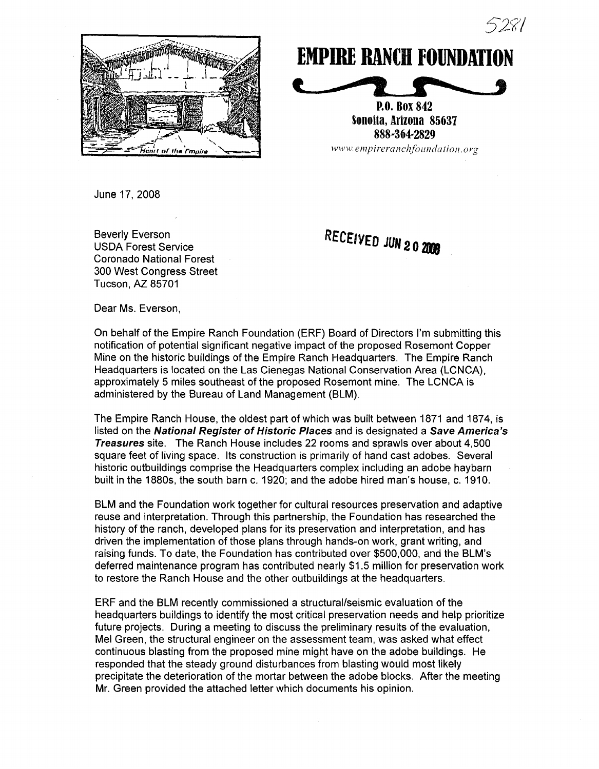



## **EMPIRE RANCH FOUNDATION** <u>the report</u>

P.O. Box 842 Sonoita, Arizona 85637 888..364-2829  $www.$ *empireranchfoundation.org* 

June 17, 2008

Beverly Everson USDA Forest Service Coronado National Forest 300 West Congress Street Tucson, AZ 85701

RECEIVED JUN 202008

Dear Ms. Everson,

On behalf of the Empire Ranch Foundation (ERF) Board of Directors I'm submitting this notification of potential significant negative impact of the proposed Rosemont Copper Mine on the historic buildings of the Empire Ranch Headquarters. The Empire Ranch Headquarters is located on the Las Cienegas National Conservation Area (LCNCA), approximately 5 miles southeast of the proposed Rosemont mine. The LCNCA is administered by the Bureau of Land Management (BLM).

The Empire Ranch House, the oldest part of which was built between 1871 and 1874, is listed on the National Register of Historic Places and is designated a Save America's Treasures site. The Ranch House includes 22 rooms and sprawls over about 4,500 square feet of living space. Its construction is primarily of hand cast adobes. Several historic outbuildings comprise the Headquarters complex including an adobe haybarn built in the 1880s, the south barn c. 1920; and the adobe hired man's house, c. 1910.

BLM and the Foundation work together for cultural resources preservation and adaptive reuse and interpretation. Through this partnership, the Foundation has researched the history of the ranch, developed plans for its preservation and interpretation, and has driven the implementation of those plans through hands-on work, grant writing, and raising funds. To date, the Foundation has contributed over \$500,000, and the BLM's deferred maintenance program has contributed nearly \$1.5 million for preservation work to restore the Ranch House and the other outbuildings at the headquarters.

ERF and the BLM recently commissioned a structural/seismic evaluation of the headquarters buildings to identify the most critical preservation needs and help prioritize future projects. During a meeting to discuss the preliminary results of the evaluation, Mel Green, the structural engineer on the assessment team, was asked what effect continuous blasting from the proposed mine might have on the adobe buildings. He responded that the steady ground disturbances from blasting would most likely precipitate the deterioration of the mortar between the adobe blocks. After the meeting Mr. Green provided the attached letter which documents his opinion.